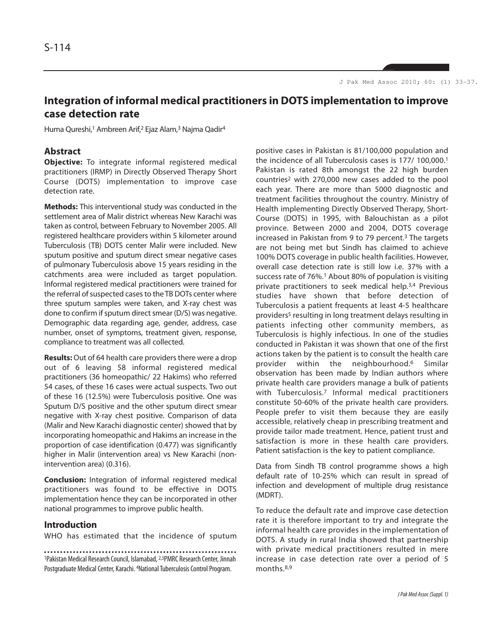# **Integration of informal medical practitioners in DOTS implementation to improve case detection rate**

Huma Qureshi,<sup>1</sup> Ambreen Arif,<sup>2</sup> Ejaz Alam,<sup>3</sup> Najma Qadir<sup>4</sup>

### **Abstract**

**Objective:** To integrate informal registered medical practitioners (IRMP) in Directly Observed Therapy Short Course (DOTS) implementation to improve case detection rate.

**Methods:** This interventional study was conducted in the settlement area of Malir district whereas New Karachi was taken as control, between February to November 2005. All registered healthcare providers within 5 kilometer around Tuberculosis (TB) DOTS center Malir were included. New sputum positive and sputum direct smear negative cases of pulmonary Tuberculosis above 15 years residing in the catchments area were included as target population. Informal registered medical practitioners were trained for the referral of suspected cases to the TB DOTs center where three sputum samples were taken, and X-ray chest was done to confirm if sputum direct smear (D/S) was negative. Demographic data regarding age, gender, address, case number, onset of symptoms, treatment given, response, compliance to treatment was all collected.

**Results:** Out of 64 health care providers there were a drop out of 6 leaving 58 informal registered medical practitioners (36 homeopathic/ 22 Hakims) who referred 54 cases, of these 16 cases were actual suspects. Two out of these 16 (12.5%) were Tuberculosis positive. One was Sputum D/S positive and the other sputum direct smear negative with X-ray chest positive. Comparison of data (Malir and New Karachi diagnostic center) showed that by incorporating homeopathic and Hakims an increase in the proportion of case identification (0.477) was significantly higher in Malir (intervention area) vs New Karachi (nonintervention area) (0.316).

**Conclusion:** Integration of informal registered medical practitioners was found to be effective in DOTS implementation hence they can be incorporated in other national programmes to improve public health.

### **Introduction**

WHO has estimated that the incidence of sputum

<sup>1</sup>Pakistan Medical Research Council, Islamabad, 2,3PMRC Research Center, Jinnah Postgraduate Medical Center, Karachi. 4National Tuberculosis Control Program.

positive cases in Pakistan is 81/100,000 population and the incidence of all Tuberculosis cases is 177/ 100,000.<sup>1</sup> Pakistan is rated 8th amongst the 22 high burden countries<sup>2</sup> with 270,000 new cases added to the pool each year. There are more than 5000 diagnostic and treatment facilities throughout the country. Ministry of Health implementing Directly Observed Therapy, Short-Course (DOTS) in 1995, with Balouchistan as a pilot province. Between 2000 and 2004, DOTS coverage increased in Pakistan from 9 to 79 percent.<sup>3</sup> The targets are not being met but Sindh has claimed to achieve 100% DOTS coverage in public health facilities. However, overall case detection rate is still low i.e. 37% with a success rate of 76%.<sup>1</sup> About 80% of population is visiting private practitioners to seek medical help.3,4 Previous studies have shown that before detection of Tuberculosis a patient frequents at least 4-5 healthcare providers<sup>5</sup> resulting in long treatment delays resulting in patients infecting other community members, as Tuberculosis is highly infectious. In one of the studies conducted in Pakistan it was shown that one of the first actions taken by the patient is to consult the health care provider within the neighbourhood.<sup>6</sup> Similar observation has been made by Indian authors where private health care providers manage a bulk of patients with Tuberculosis.<sup>7</sup> Informal medical practitioners constitute 50-60% of the private health care providers. People prefer to visit them because they are easily accessible, relatively cheap in prescribing treatment and provide tailor made treatment. Hence, patient trust and satisfaction is more in these health care providers. Patient satisfaction is the key to patient compliance.

Data from Sindh TB control programme shows a high default rate of 10-25% which can result in spread of infection and development of multiple drug resistance (MDRT).

To reduce the default rate and improve case detection rate it is therefore important to try and integrate the informal health care provides in the implementation of DOTS. A study in rural India showed that partnership with private medical practitioners resulted in mere increase in case detection rate over a period of 5 months.8,9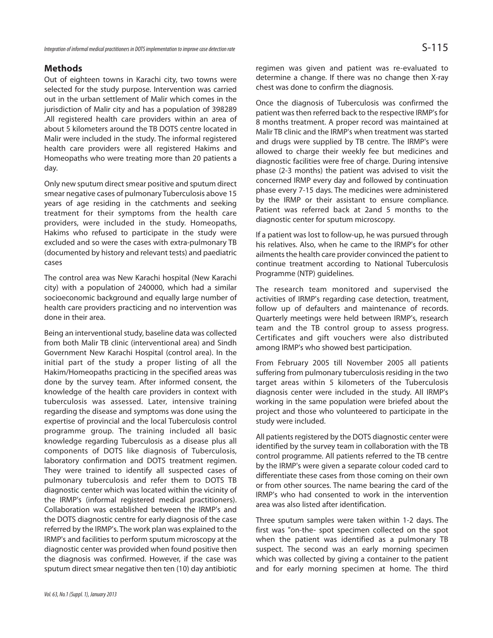# **Methods**

Out of eighteen towns in Karachi city, two towns were selected for the study purpose. Intervention was carried out in the urban settlement of Malir which comes in the jurisdiction of Malir city and has a population of 398289 .All registered health care providers within an area of about 5 kilometers around the TB DOTS centre located in Malir were included in the study. The informal registered health care providers were all registered Hakims and Homeopaths who were treating more than 20 patients a day.

Only new sputum direct smear positive and sputum direct smear negative cases of pulmonary Tuberculosis above 15 years of age residing in the catchments and seeking treatment for their symptoms from the health care providers, were included in the study. Homeopaths, Hakims who refused to participate in the study were excluded and so were the cases with extra-pulmonary TB (documented by history and relevant tests) and paediatric cases

The control area was New Karachi hospital (New Karachi city) with a population of 240000, which had a similar socioeconomic background and equally large number of health care providers practicing and no intervention was done in their area.

Being an interventional study, baseline data was collected from both Malir TB clinic (interventional area) and Sindh Government New Karachi Hospital (control area). In the initial part of the study a proper listing of all the Hakim/Homeopaths practicing in the specified areas was done by the survey team. After informed consent, the knowledge of the health care providers in context with tuberculosis was assessed. Later, intensive training regarding the disease and symptoms was done using the expertise of provincial and the local Tuberculosis control programme group. The training included all basic knowledge regarding Tuberculosis as a disease plus all components of DOTS like diagnosis of Tuberculosis, laboratory confirmation and DOTS treatment regimen. They were trained to identify all suspected cases of pulmonary tuberculosis and refer them to DOTS TB diagnostic center which was located within the vicinity of the IRMP's (informal registered medical practitioners). Collaboration was established between the IRMP's and the DOTS diagnostic centre for early diagnosis of the case referred by the IRMP's. The work plan was explained to the IRMP's and facilities to perform sputum microscopy at the diagnostic center was provided when found positive then the diagnosis was confirmed. However, if the case was sputum direct smear negative then ten (10) day antibiotic regimen was given and patient was re-evaluated to determine a change. If there was no change then X-ray chest was done to confirm the diagnosis.

Once the diagnosis of Tuberculosis was confirmed the patient was then referred back to the respective IRMP's for 8 months treatment. A proper record was maintained at Malir TB clinic and the IRMP's when treatment was started and drugs were supplied by TB centre. The IRMP's were allowed to charge their weekly fee but medicines and diagnostic facilities were free of charge. During intensive phase (2-3 months) the patient was advised to visit the concerned IRMP every day and followed by continuation phase every 7-15 days. The medicines were administered by the IRMP or their assistant to ensure compliance. Patient was referred back at 2and 5 months to the diagnostic center for sputum microscopy.

If a patient was lost to follow-up, he was pursued through his relatives. Also, when he came to the IRMP's for other ailments the health care provider convinced the patient to continue treatment according to National Tuberculosis Programme (NTP) guidelines.

The research team monitored and supervised the activities of IRMP's regarding case detection, treatment, follow up of defaulters and maintenance of records. Quarterly meetings were held between IRMP's, research team and the TB control group to assess progress. Certificates and gift vouchers were also distributed among IRMP's who showed best participation.

From February 2005 till November 2005 all patients suffering from pulmonary tuberculosis residing in the two target areas within 5 kilometers of the Tuberculosis diagnosis center were included in the study. All IRMP's working in the same population were briefed about the project and those who volunteered to participate in the study were included.

All patients registered by the DOTS diagnostic center were identified by the survey team in collaboration with the TB control programme. All patients referred to the TB centre by the IRMP's were given a separate colour coded card to differentiate these cases from those coming on their own or from other sources. The name bearing the card of the IRMP's who had consented to work in the intervention area was also listed after identification.

Three sputum samples were taken within 1-2 days. The first was "on-the- spot specimen collected on the spot when the patient was identified as a pulmonary TB suspect. The second was an early morning specimen which was collected by giving a container to the patient and for early morning specimen at home. The third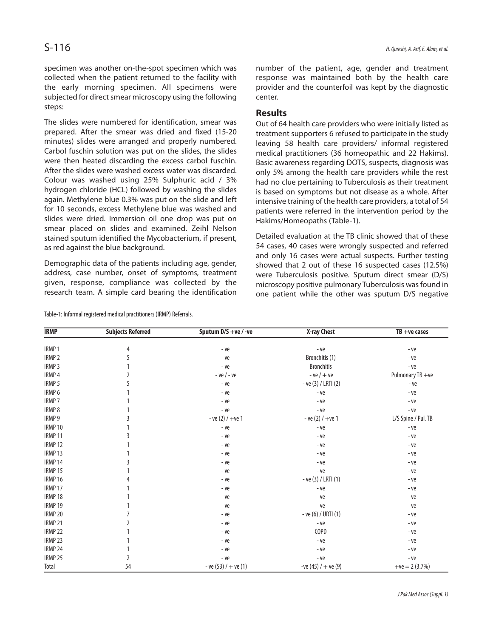specimen was another on-the-spot specimen which was collected when the patient returned to the facility with the early morning specimen. All specimens were subjected for direct smear microscopy using the following steps:

The slides were numbered for identification, smear was prepared. After the smear was dried and fixed (15-20 minutes) slides were arranged and properly numbered. Carbol fuschin solution was put on the slides, the slides were then heated discarding the excess carbol fuschin. After the slides were washed excess water was discarded. Colour was washed using 25% Sulphuric acid / 3% hydrogen chloride (HCL) followed by washing the slides again. Methylene blue 0.3% was put on the slide and left for 10 seconds, excess Methylene blue was washed and slides were dried. Immersion oil one drop was put on smear placed on slides and examined. Zeihl Nelson stained sputum identified the Mycobacterium, if present, as red against the blue background.

Demographic data of the patients including age, gender, address, case number, onset of symptoms, treatment given, response, compliance was collected by the research team. A simple card bearing the identification

Table-1: Informal registered medical practitioners (IRMP) Referrals.

number of the patient, age, gender and treatment response was maintained both by the health care provider and the counterfoil was kept by the diagnostic center.

### **Results**

Out of 64 health care providers who were initially listed as treatment supporters 6 refused to participate in the study leaving 58 health care providers/ informal registered medical practitioners (36 homeopathic and 22 Hakims). Basic awareness regarding DOTS, suspects, diagnosis was only 5% among the health care providers while the rest had no clue pertaining to Tuberculosis as their treatment is based on symptoms but not disease as a whole. After intensive training of the health care providers, a total of 54 patients were referred in the intervention period by the Hakims/Homeopaths (Table-1).

Detailed evaluation at the TB clinic showed that of these 54 cases, 40 cases were wrongly suspected and referred and only 16 cases were actual suspects. Further testing showed that 2 out of these 16 suspected cases (12.5%) were Tuberculosis positive. Sputum direct smear (D/S) microscopy positive pulmonary Tuberculosis was found in one patient while the other was sputum D/S negative

| <b>IRMP</b>        | <b>Subjects Referred</b> | Sputum D/S +ve / -ve   | X-ray Chest           | $TB + ve \ cases$   |
|--------------------|--------------------------|------------------------|-----------------------|---------------------|
| IRMP <sub>1</sub>  | 4                        | - ve                   | - ve                  | - ve                |
| IRMP <sub>2</sub>  | 5                        | - ve                   | Bronchitis (1)        | - ve                |
| IRMP <sub>3</sub>  |                          | - ve                   | <b>Bronchitis</b>     | - ve                |
| IRMP 4             |                          | $-$ ve $/$ - ve        | $-ve/+ve$             | Pulmonary TB +ve    |
| IRMP <sub>5</sub>  |                          | - ve                   | $-$ ve (3) / LRTI (2) | - ve                |
| IRMP 6             |                          | - ve                   | - ve                  | - ve                |
| <b>IRMP7</b>       |                          | - ve                   | - ve                  | - ve                |
| <b>IRMP8</b>       |                          | - ve                   | - ve                  | - ve                |
| IRMP 9             | 3                        | $-ve(2)$ / $+ve(1)$    | $-ve(2)$ / $+ve(1)$   | L/S Spine / Pul. TB |
| IRMP 10            |                          | - ve                   | - ve                  | - ve                |
| IRMP 11            |                          | - ve                   | - ve                  | - ve                |
| IRMP <sub>12</sub> |                          | - ve                   | - ve                  | - ve                |
| IRMP <sub>13</sub> |                          | - ve                   | - ve                  | - ve                |
| IRMP <sub>14</sub> | 3                        | - ve                   | - ve                  | - ve                |
| IRMP <sub>15</sub> |                          | - ve                   | - ve                  | - ve                |
| IRMP <sub>16</sub> |                          | - ve                   | $-$ ve (3) / LRTI (1) | - ve                |
| IRMP 17            |                          | - ve                   | - ve                  | - ve                |
| IRMP 18            |                          | - ve                   | - ve                  | - ve                |
| IRMP 19            |                          | - ve                   | - ve                  | - ve                |
| IRMP 20            |                          | - ve                   | - ve (6) / URTI (1)   | - ve                |
| IRMP <sub>21</sub> |                          | - ve                   | - ve                  | - ve                |
| <b>IRMP 22</b>     |                          | - ve                   | COPD                  | - ve                |
| IRMP <sub>23</sub> |                          | - ve                   | - ve                  | - ve                |
| IRMP 24            |                          | - ve                   | - ve                  | - ve                |
| IRMP <sub>25</sub> | 2                        | - ve                   | - ve                  | - ve                |
| Total              | 54                       | $-$ ve (53) / + ve (1) | -ve (45) $/ +$ ve (9) | $+ve = 2 (3.7%)$    |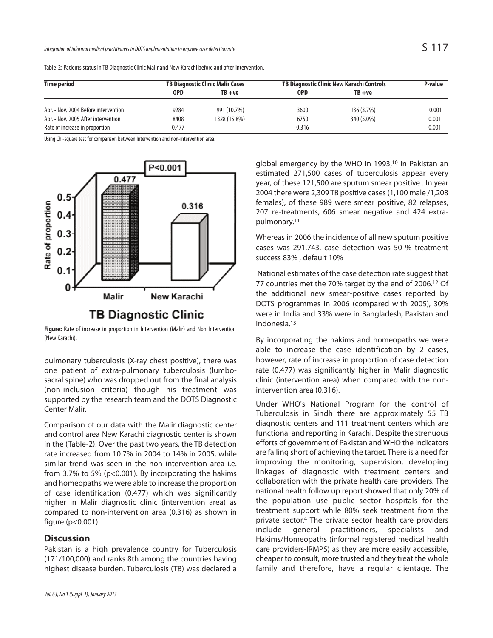|             | Table-2: Patients status in TB Diagnostic Clinic Malir and New Karachi before and after intervention. |                                 |
|-------------|-------------------------------------------------------------------------------------------------------|---------------------------------|
| Time neriod | <b>TR Diagnostic Clinic Malir Cases</b>                                                               | <b>TR Diagnostic Clinic New</b> |

| <b>Time period</b>                   | <b>TB Diagnostic Clinic Malir Cases</b> |              | TB Diagnostic Clinic New Karachi Controls |            | P-value |
|--------------------------------------|-----------------------------------------|--------------|-------------------------------------------|------------|---------|
|                                      | <b>OPD</b>                              | $TB + ve$    | <b>OPD</b>                                | TB +ve     |         |
| Apr. - Nov. 2004 Before intervention | 9284                                    | 991 (10.7%)  | 3600                                      | 136 (3.7%) | 0.001   |
| Apr. - Nov. 2005 After intervention  | 8408                                    | 1328 (15.8%) | 6750                                      | 340 (5.0%) | 0.001   |
| Rate of increase in proportion       | 0.477                                   |              | 0.316                                     |            | 0.001   |

Using Chi-square test for comparison between Intervention and non-intervention area.



**Figure:** Rate of increase in proportion in Intervention (Malir) and Non Intervention (New Karachi).

pulmonary tuberculosis (X-ray chest positive), there was one patient of extra-pulmonary tuberculosis (lumbosacral spine) who was dropped out from the final analysis (non-inclusion criteria) though his treatment was supported by the research team and the DOTS Diagnostic Center Malir.

Comparison of our data with the Malir diagnostic center and control area New Karachi diagnostic center is shown in the (Table-2). Over the past two years, the TB detection rate increased from 10.7% in 2004 to 14% in 2005, while similar trend was seen in the non intervention area i.e. from 3.7% to 5% (p<0.001). By incorporating the hakims and homeopaths we were able to increase the proportion of case identification (0.477) which was significantly higher in Malir diagnostic clinic (intervention area) as compared to non-intervention area (0.316) as shown in figure (p<0.001).

# **Discussion**

Pakistan is a high prevalence country for Tuberculosis (171/100,000) and ranks 8th among the countries having highest disease burden. Tuberculosis (TB) was declared a

global emergency by the WHO in 1993,<sup>10</sup> In Pakistan an estimated 271,500 cases of tuberculosis appear every year, of these 121,500 are sputum smear positive . In year 2004 there were 2,309 TB positive cases (1,100 male /1,208 females), of these 989 were smear positive, 82 relapses, 207 re-treatments, 606 smear negative and 424 extrapulmonary.<sup>11</sup>

Whereas in 2006 the incidence of all new sputum positive cases was 291,743, case detection was 50 % treatment success 83% , default 10%

National estimates of the case detection rate suggest that 77 countries met the 70% target by the end of 2006.<sup>12</sup> Of the additional new smear-positive cases reported by DOTS programmes in 2006 (compared with 2005), 30% were in India and 33% were in Bangladesh, Pakistan and Indonesia.<sup>13</sup>

By incorporating the hakims and homeopaths we were able to increase the case identification by 2 cases, however, rate of increase in proportion of case detection rate (0.477) was significantly higher in Malir diagnostic clinic (intervention area) when compared with the nonintervention area (0.316).

Under WHO's National Program for the control of Tuberculosis in Sindh there are approximately 55 TB diagnostic centers and 111 treatment centers which are functional and reporting in Karachi. Despite the strenuous efforts of government of Pakistan and WHO the indicators are falling short of achieving the target. There is a need for improving the monitoring, supervision, developing linkages of diagnostic with treatment centers and collaboration with the private health care providers. The national health follow up report showed that only 20% of the population use public sector hospitals for the treatment support while 80% seek treatment from the private sector.<sup>4</sup> The private sector health care providers include general practitioners, specialists and Hakims/Homeopaths (informal registered medical health care providers-IRMPS) as they are more easily accessible, cheaper to consult, more trusted and they treat the whole family and therefore, have a regular clientage. The